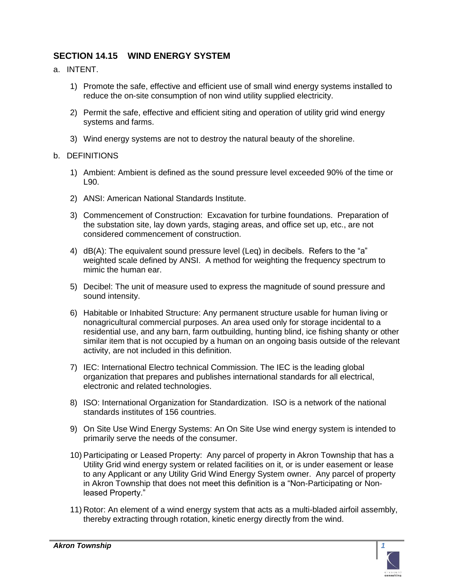## **SECTION 14.15 WIND ENERGY SYSTEM**

- a. INTENT.
	- 1) Promote the safe, effective and efficient use of small wind energy systems installed to reduce the on-site consumption of non wind utility supplied electricity.
	- 2) Permit the safe, effective and efficient siting and operation of utility grid wind energy systems and farms.
	- 3) Wind energy systems are not to destroy the natural beauty of the shoreline.

## b. DEFINITIONS

- 1) Ambient: Ambient is defined as the sound pressure level exceeded 90% of the time or L90.
- 2) ANSI: American National Standards Institute.
- 3) Commencement of Construction: Excavation for turbine foundations. Preparation of the substation site, lay down yards, staging areas, and office set up, etc., are not considered commencement of construction.
- 4) dB(A): The equivalent sound pressure level (Leq) in decibels. Refers to the "a" weighted scale defined by ANSI. A method for weighting the frequency spectrum to mimic the human ear.
- 5) Decibel: The unit of measure used to express the magnitude of sound pressure and sound intensity.
- 6) Habitable or Inhabited Structure: Any permanent structure usable for human living or nonagricultural commercial purposes. An area used only for storage incidental to a residential use, and any barn, farm outbuilding, hunting blind, ice fishing shanty or other similar item that is not occupied by a human on an ongoing basis outside of the relevant activity, are not included in this definition.
- 7) IEC: International Electro technical Commission. The IEC is the leading global organization that prepares and publishes international standards for all electrical, electronic and related technologies.
- 8) ISO: International Organization for Standardization. ISO is a network of the national standards institutes of 156 countries.
- 9) On Site Use Wind Energy Systems: An On Site Use wind energy system is intended to primarily serve the needs of the consumer.
- 10) Participating or Leased Property: Any parcel of property in Akron Township that has a Utility Grid wind energy system or related facilities on it, or is under easement or lease to any Applicant or any Utility Grid Wind Energy System owner. Any parcel of property in Akron Township that does not meet this definition is a "Non-Participating or Nonleased Property."
- 11) Rotor: An element of a wind energy system that acts as a multi-bladed airfoil assembly, thereby extracting through rotation, kinetic energy directly from the wind.

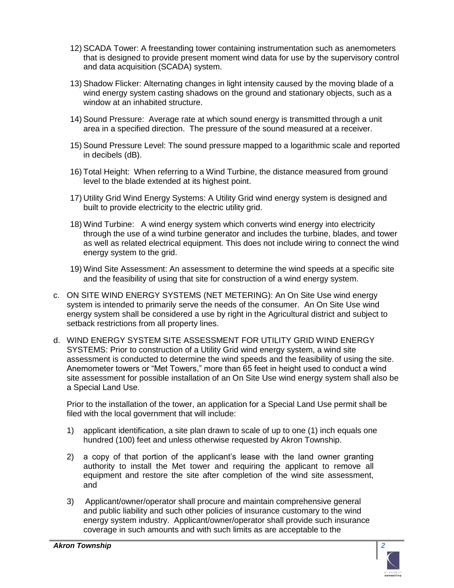- 12) SCADA Tower: A freestanding tower containing instrumentation such as anemometers that is designed to provide present moment wind data for use by the supervisory control and data acquisition (SCADA) system.
- 13) Shadow Flicker: Alternating changes in light intensity caused by the moving blade of a wind energy system casting shadows on the ground and stationary objects, such as a window at an inhabited structure.
- 14) Sound Pressure: Average rate at which sound energy is transmitted through a unit area in a specified direction. The pressure of the sound measured at a receiver.
- 15) Sound Pressure Level: The sound pressure mapped to a logarithmic scale and reported in decibels (dB).
- 16) Total Height: When referring to a Wind Turbine, the distance measured from ground level to the blade extended at its highest point.
- 17) Utility Grid Wind Energy Systems: A Utility Grid wind energy system is designed and built to provide electricity to the electric utility grid.
- 18) Wind Turbine: A wind energy system which converts wind energy into electricity through the use of a wind turbine generator and includes the turbine, blades, and tower as well as related electrical equipment. This does not include wiring to connect the wind energy system to the grid.
- 19) Wind Site Assessment: An assessment to determine the wind speeds at a specific site and the feasibility of using that site for construction of a wind energy system.
- c. ON SITE WIND ENERGY SYSTEMS (NET METERING): An On Site Use wind energy system is intended to primarily serve the needs of the consumer. An On Site Use wind energy system shall be considered a use by right in the Agricultural district and subject to setback restrictions from all property lines.
- d. WIND ENERGY SYSTEM SITE ASSESSMENT FOR UTILITY GRID WIND ENERGY SYSTEMS: Prior to construction of a Utility Grid wind energy system, a wind site assessment is conducted to determine the wind speeds and the feasibility of using the site. Anemometer towers or "Met Towers," more than 65 feet in height used to conduct a wind site assessment for possible installation of an On Site Use wind energy system shall also be a Special Land Use.

Prior to the installation of the tower, an application for a Special Land Use permit shall be filed with the local government that will include:

- 1) applicant identification, a site plan drawn to scale of up to one (1) inch equals one hundred (100) feet and unless otherwise requested by Akron Township.
- 2) a copy of that portion of the applicant's lease with the land owner granting authority to install the Met tower and requiring the applicant to remove all equipment and restore the site after completion of the wind site assessment, and
- 3) Applicant/owner/operator shall procure and maintain comprehensive general and public liability and such other policies of insurance customary to the wind energy system industry. Applicant/owner/operator shall provide such insurance coverage in such amounts and with such limits as are acceptable to the

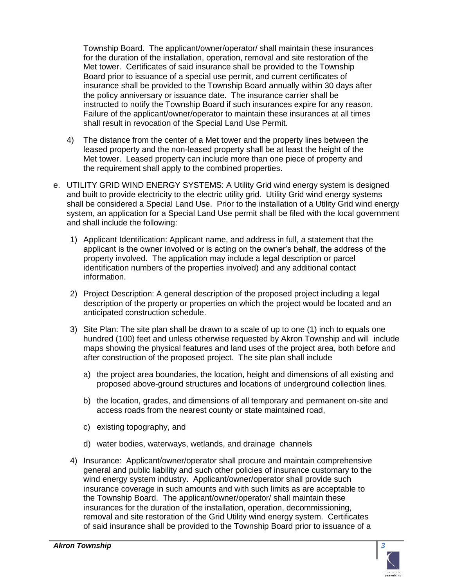Township Board. The applicant/owner/operator/ shall maintain these insurances for the duration of the installation, operation, removal and site restoration of the Met tower. Certificates of said insurance shall be provided to the Township Board prior to issuance of a special use permit, and current certificates of insurance shall be provided to the Township Board annually within 30 days after the policy anniversary or issuance date. The insurance carrier shall be instructed to notify the Township Board if such insurances expire for any reason. Failure of the applicant/owner/operator to maintain these insurances at all times shall result in revocation of the Special Land Use Permit.

- 4) The distance from the center of a Met tower and the property lines between the leased property and the non-leased property shall be at least the height of the Met tower. Leased property can include more than one piece of property and the requirement shall apply to the combined properties.
- e. UTILITY GRID WIND ENERGY SYSTEMS: A Utility Grid wind energy system is designed and built to provide electricity to the electric utility grid. Utility Grid wind energy systems shall be considered a Special Land Use. Prior to the installation of a Utility Grid wind energy system, an application for a Special Land Use permit shall be filed with the local government and shall include the following:
	- 1) Applicant Identification: Applicant name, and address in full, a statement that the applicant is the owner involved or is acting on the owner's behalf, the address of the property involved. The application may include a legal description or parcel identification numbers of the properties involved) and any additional contact information.
	- 2) Project Description: A general description of the proposed project including a legal description of the property or properties on which the project would be located and an anticipated construction schedule.
	- 3) Site Plan: The site plan shall be drawn to a scale of up to one (1) inch to equals one hundred (100) feet and unless otherwise requested by Akron Township and will include maps showing the physical features and land uses of the project area, both before and after construction of the proposed project. The site plan shall include
		- a) the project area boundaries, the location, height and dimensions of all existing and proposed above-ground structures and locations of underground collection lines.
		- b) the location, grades, and dimensions of all temporary and permanent on-site and access roads from the nearest county or state maintained road,
		- c) existing topography, and
		- d) water bodies, waterways, wetlands, and drainage channels
	- 4) Insurance: Applicant/owner/operator shall procure and maintain comprehensive general and public liability and such other policies of insurance customary to the wind energy system industry. Applicant/owner/operator shall provide such insurance coverage in such amounts and with such limits as are acceptable to the Township Board. The applicant/owner/operator/ shall maintain these insurances for the duration of the installation, operation, decommissioning, removal and site restoration of the Grid Utility wind energy system. Certificates of said insurance shall be provided to the Township Board prior to issuance of a

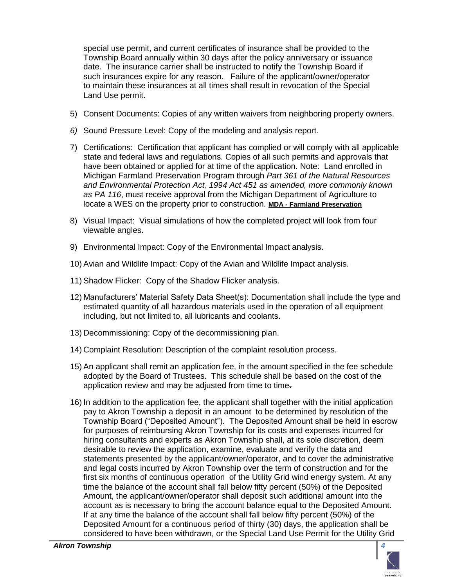special use permit, and current certificates of insurance shall be provided to the Township Board annually within 30 days after the policy anniversary or issuance date. The insurance carrier shall be instructed to notify the Township Board if such insurances expire for any reason. Failure of the applicant/owner/operator to maintain these insurances at all times shall result in revocation of the Special Land Use permit.

- 5) Consent Documents: Copies of any written waivers from neighboring property owners.
- *6)* Sound Pressure Level: Copy of the modeling and analysis report.
- 7) Certifications: Certification that applicant has complied or will comply with all applicable state and federal laws and regulations. Copies of all such permits and approvals that have been obtained or applied for at time of the application. Note: Land enrolled in Michigan Farmland Preservation Program through *Part 361 of the Natural Resources and Environmental Protection Act, 1994 Act 451 as amended, more commonly known as PA 116*, must receive approval from the Michigan Department of Agriculture to locate a WES on the property prior to construction. **MDA - [Farmland Preservation](http://www.michigan.gov/mda/0,1607,7-125-1567_1599_2558-11739--,00.html)**
- 8) Visual Impact: Visual simulations of how the completed project will look from four viewable angles.
- 9) Environmental Impact: Copy of the Environmental Impact analysis.
- 10) Avian and Wildlife Impact: Copy of the Avian and Wildlife Impact analysis.
- 11) Shadow Flicker: Copy of the Shadow Flicker analysis.
- 12) Manufacturers' Material Safety Data Sheet(s): Documentation shall include the type and estimated quantity of all hazardous materials used in the operation of all equipment including, but not limited to, all lubricants and coolants.
- 13) Decommissioning: Copy of the decommissioning plan.
- 14) Complaint Resolution: Description of the complaint resolution process.
- 15) An applicant shall remit an application fee, in the amount specified in the fee schedule adopted by the Board of Trustees. This schedule shall be based on the cost of the application review and may be adjusted from time to time.
- 16) In addition to the application fee, the applicant shall together with the initial application pay to Akron Township a deposit in an amount to be determined by resolution of the Township Board ("Deposited Amount"). The Deposited Amount shall be held in escrow for purposes of reimbursing Akron Township for its costs and expenses incurred for hiring consultants and experts as Akron Township shall, at its sole discretion, deem desirable to review the application, examine, evaluate and verify the data and statements presented by the applicant/owner/operator, and to cover the administrative and legal costs incurred by Akron Township over the term of construction and for the first six months of continuous operation of the Utility Grid wind energy system. At any time the balance of the account shall fall below fifty percent (50%) of the Deposited Amount, the applicant/owner/operator shall deposit such additional amount into the account as is necessary to bring the account balance equal to the Deposited Amount. If at any time the balance of the account shall fall below fifty percent (50%) of the Deposited Amount for a continuous period of thirty (30) days, the application shall be considered to have been withdrawn, or the Special Land Use Permit for the Utility Grid

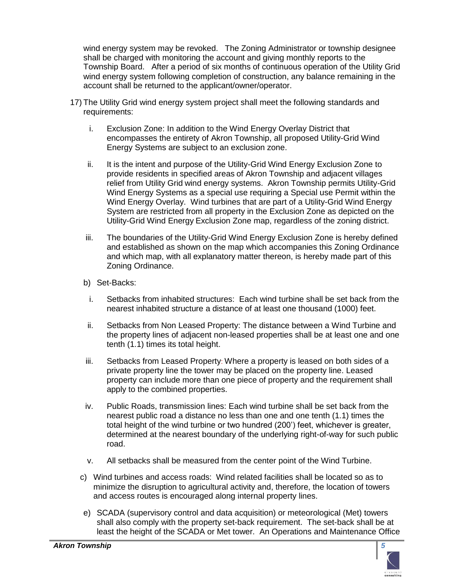wind energy system may be revoked. The Zoning Administrator or township designee shall be charged with monitoring the account and giving monthly reports to the Township Board. After a period of six months of continuous operation of the Utility Grid wind energy system following completion of construction, any balance remaining in the account shall be returned to the applicant/owner/operator.

- 17) The Utility Grid wind energy system project shall meet the following standards and requirements:
	- i. Exclusion Zone: In addition to the Wind Energy Overlay District that encompasses the entirety of Akron Township, all proposed Utility-Grid Wind Energy Systems are subject to an exclusion zone.
	- ii. It is the intent and purpose of the Utility-Grid Wind Energy Exclusion Zone to provide residents in specified areas of Akron Township and adjacent villages relief from Utility Grid wind energy systems. Akron Township permits Utility-Grid Wind Energy Systems as a special use requiring a Special use Permit within the Wind Energy Overlay. Wind turbines that are part of a Utility-Grid Wind Energy System are restricted from all property in the Exclusion Zone as depicted on the Utility-Grid Wind Energy Exclusion Zone map, regardless of the zoning district.
	- iii. The boundaries of the Utility-Grid Wind Energy Exclusion Zone is hereby defined and established as shown on the map which accompanies this Zoning Ordinance and which map, with all explanatory matter thereon, is hereby made part of this Zoning Ordinance.
	- b) Set-Backs:
		- i. Setbacks from inhabited structures: Each wind turbine shall be set back from the nearest inhabited structure a distance of at least one thousand (1000) feet.
	- ii. Setbacks from Non Leased Property: The distance between a Wind Turbine and the property lines of adjacent non-leased properties shall be at least one and one tenth (1.1) times its total height.
	- iii. Setbacks from Leased Property: Where a property is leased on both sides of a private property line the tower may be placed on the property line. Leased property can include more than one piece of property and the requirement shall apply to the combined properties.
	- iv. Public Roads, transmission lines: Each wind turbine shall be set back from the nearest public road a distance no less than one and one tenth (1.1) times the total height of the wind turbine or two hundred (200') feet, whichever is greater, determined at the nearest boundary of the underlying right-of-way for such public road.
	- v. All setbacks shall be measured from the center point of the Wind Turbine.
	- c) Wind turbines and access roads: Wind related facilities shall be located so as to minimize the disruption to agricultural activity and, therefore, the location of towers and access routes is encouraged along internal property lines.
	- e) SCADA (supervisory control and data acquisition) or meteorological (Met) towers shall also comply with the property set-back requirement. The set-back shall be at least the height of the SCADA or Met tower. An Operations and Maintenance Office

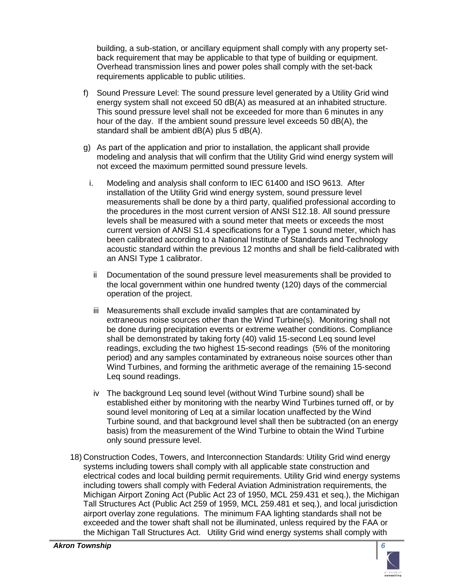building, a sub-station, or ancillary equipment shall comply with any property setback requirement that may be applicable to that type of building or equipment. Overhead transmission lines and power poles shall comply with the set-back requirements applicable to public utilities.

- f) Sound Pressure Level: The sound pressure level generated by a Utility Grid wind energy system shall not exceed 50 dB(A) as measured at an inhabited structure. This sound pressure level shall not be exceeded for more than 6 minutes in any hour of the day. If the ambient sound pressure level exceeds 50 dB(A), the standard shall be ambient dB(A) plus 5 dB(A).
- g) As part of the application and prior to installation, the applicant shall provide modeling and analysis that will confirm that the Utility Grid wind energy system will not exceed the maximum permitted sound pressure levels.
	- i. Modeling and analysis shall conform to IEC 61400 and ISO 9613. After installation of the Utility Grid wind energy system, sound pressure level measurements shall be done by a third party, qualified professional according to the procedures in the most current version of ANSI S12.18. All sound pressure levels shall be measured with a sound meter that meets or exceeds the most current version of ANSI S1.4 specifications for a Type 1 sound meter, which has been calibrated according to a National Institute of Standards and Technology acoustic standard within the previous 12 months and shall be field-calibrated with an ANSI Type 1 calibrator.
		- ii Documentation of the sound pressure level measurements shall be provided to the local government within one hundred twenty (120) days of the commercial operation of the project.
		- iii Measurements shall exclude invalid samples that are contaminated by extraneous noise sources other than the Wind Turbine(s). Monitoring shall not be done during precipitation events or extreme weather conditions. Compliance shall be demonstrated by taking forty (40) valid 15-second Leq sound level readings, excluding the two highest 15-second readings (5% of the monitoring period) and any samples contaminated by extraneous noise sources other than Wind Turbines, and forming the arithmetic average of the remaining 15-second Leq sound readings.
		- iv The background Leq sound level (without Wind Turbine sound) shall be established either by monitoring with the nearby Wind Turbines turned off, or by sound level monitoring of Leq at a similar location unaffected by the Wind Turbine sound, and that background level shall then be subtracted (on an energy basis) from the measurement of the Wind Turbine to obtain the Wind Turbine only sound pressure level.
- 18) Construction Codes, Towers, and Interconnection Standards: Utility Grid wind energy systems including towers shall comply with all applicable state construction and electrical codes and local building permit requirements. Utility Grid wind energy systems including towers shall comply with Federal Aviation Administration requirements, the Michigan Airport Zoning Act (Public Act 23 of 1950, MCL 259.431 et seq.), the Michigan Tall Structures Act (Public Act 259 of 1959, MCL 259.481 et seq.), and local jurisdiction airport overlay zone regulations. The minimum FAA lighting standards shall not be exceeded and the tower shaft shall not be illuminated, unless required by the FAA or the Michigan Tall Structures Act. Utility Grid wind energy systems shall comply with

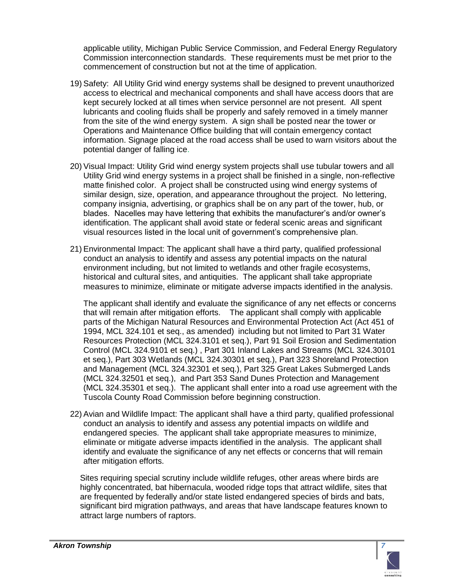applicable utility, Michigan Public Service Commission, and Federal Energy Regulatory Commission interconnection standards. These requirements must be met prior to the commencement of construction but not at the time of application.

- 19) Safety: All Utility Grid wind energy systems shall be designed to prevent unauthorized access to electrical and mechanical components and shall have access doors that are kept securely locked at all times when service personnel are not present. All spent lubricants and cooling fluids shall be properly and safely removed in a timely manner from the site of the wind energy system. A sign shall be posted near the tower or Operations and Maintenance Office building that will contain emergency contact information. Signage placed at the road access shall be used to warn visitors about the potential danger of falling ice.
- 20) Visual Impact: Utility Grid wind energy system projects shall use tubular towers and all Utility Grid wind energy systems in a project shall be finished in a single, non-reflective matte finished color. A project shall be constructed using wind energy systems of similar design, size, operation, and appearance throughout the project. No lettering, company insignia, advertising, or graphics shall be on any part of the tower, hub, or blades. Nacelles may have lettering that exhibits the manufacturer's and/or owner's identification. The applicant shall avoid state or federal scenic areas and significant visual resources listed in the local unit of government's comprehensive plan.
- 21) Environmental Impact: The applicant shall have a third party, qualified professional conduct an analysis to identify and assess any potential impacts on the natural environment including, but not limited to wetlands and other fragile ecosystems, historical and cultural sites, and antiquities. The applicant shall take appropriate measures to minimize, eliminate or mitigate adverse impacts identified in the analysis.

The applicant shall identify and evaluate the significance of any net effects or concerns that will remain after mitigation efforts. The applicant shall comply with applicable parts of the Michigan Natural Resources and Environmental Protection Act (Act 451 of 1994, MCL 324.101 et seq., as amended) including but not limited to Part 31 Water Resources Protection (MCL 324.3101 et seq.), Part 91 Soil Erosion and Sedimentation Control (MCL 324.9101 et seq.) , Part 301 Inland Lakes and Streams (MCL 324.30101 et seq.), Part 303 Wetlands (MCL 324.30301 et seq.), Part 323 Shoreland Protection and Management (MCL 324.32301 et seq.), Part 325 Great Lakes Submerged Lands (MCL 324.32501 et seq.), and Part 353 Sand Dunes Protection and Management (MCL 324.35301 et seq.). The applicant shall enter into a road use agreement with the Tuscola County Road Commission before beginning construction.

22) Avian and Wildlife Impact: The applicant shall have a third party, qualified professional conduct an analysis to identify and assess any potential impacts on wildlife and endangered species. The applicant shall take appropriate measures to minimize, eliminate or mitigate adverse impacts identified in the analysis. The applicant shall identify and evaluate the significance of any net effects or concerns that will remain after mitigation efforts.

Sites requiring special scrutiny include wildlife refuges, other areas where birds are highly concentrated, bat hibernacula, wooded ridge tops that attract wildlife, sites that are frequented by federally and/or state listed endangered species of birds and bats, significant bird migration pathways, and areas that have landscape features known to attract large numbers of raptors.

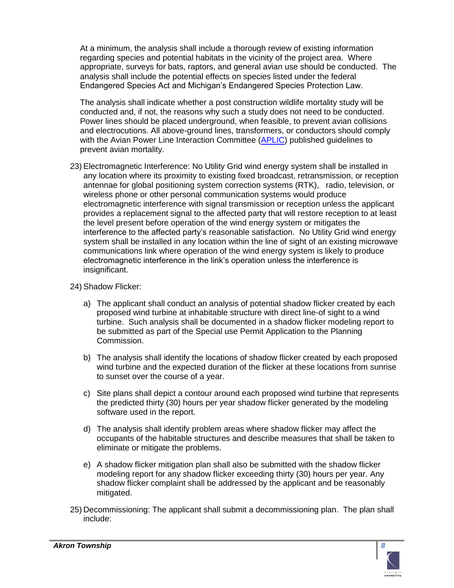At a minimum, the analysis shall include a thorough review of existing information regarding species and potential habitats in the vicinity of the project area. Where appropriate, surveys for bats, raptors, and general avian use should be conducted. The analysis shall include the potential effects on species listed under the federal Endangered Species Act and Michigan's Endangered Species Protection Law.

The analysis shall indicate whether a post construction wildlife mortality study will be conducted and, if not, the reasons why such a study does not need to be conducted. Power lines should be placed underground, when feasible, to prevent avian collisions and electrocutions. All above-ground lines, transformers, or conductors should comply with the Avian Power Line Interaction Committee [\(APLIC\)](http://www.aplic.org/) published guidelines to prevent avian mortality.

23) Electromagnetic Interference: No Utility Grid wind energy system shall be installed in any location where its proximity to existing fixed broadcast, retransmission, or reception antennae for global positioning system correction systems (RTK), radio, television, or wireless phone or other personal communication systems would produce electromagnetic interference with signal transmission or reception unless the applicant provides a replacement signal to the affected party that will restore reception to at least the level present before operation of the wind energy system or mitigates the interference to the affected party's reasonable satisfaction. No Utility Grid wind energy system shall be installed in any location within the line of sight of an existing microwave communications link where operation of the wind energy system is likely to produce electromagnetic interference in the link's operation unless the interference is insignificant.

## 24) Shadow Flicker:

- a) The applicant shall conduct an analysis of potential shadow flicker created by each proposed wind turbine at inhabitable structure with direct line-of sight to a wind turbine. Such analysis shall be documented in a shadow flicker modeling report to be submitted as part of the Special use Permit Application to the Planning Commission.
- b) The analysis shall identify the locations of shadow flicker created by each proposed wind turbine and the expected duration of the flicker at these locations from sunrise to sunset over the course of a year.
- c) Site plans shall depict a contour around each proposed wind turbine that represents the predicted thirty (30) hours per year shadow flicker generated by the modeling software used in the report.
- d) The analysis shall identify problem areas where shadow flicker may affect the occupants of the habitable structures and describe measures that shall be taken to eliminate or mitigate the problems.
- e) A shadow flicker mitigation plan shall also be submitted with the shadow flicker modeling report for any shadow flicker exceeding thirty (30) hours per year. Any shadow flicker complaint shall be addressed by the applicant and be reasonably mitigated.
- 25) Decommissioning: The applicant shall submit a decommissioning plan. The plan shall include:

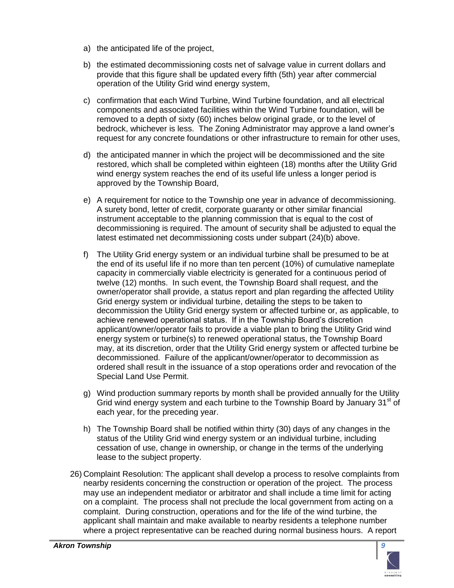- a) the anticipated life of the project,
- b) the estimated decommissioning costs net of salvage value in current dollars and provide that this figure shall be updated every fifth (5th) year after commercial operation of the Utility Grid wind energy system,
- c) confirmation that each Wind Turbine, Wind Turbine foundation, and all electrical components and associated facilities within the Wind Turbine foundation, will be removed to a depth of sixty (60) inches below original grade, or to the level of bedrock, whichever is less. The Zoning Administrator may approve a land owner's request for any concrete foundations or other infrastructure to remain for other uses,
- d) the anticipated manner in which the project will be decommissioned and the site restored, which shall be completed within eighteen (18) months after the Utility Grid wind energy system reaches the end of its useful life unless a longer period is approved by the Township Board,
- e) A requirement for notice to the Township one year in advance of decommissioning. A surety bond, letter of credit, corporate guaranty or other similar financial instrument acceptable to the planning commission that is equal to the cost of decommissioning is required. The amount of security shall be adjusted to equal the latest estimated net decommissioning costs under subpart (24)(b) above.
- f) The Utility Grid energy system or an individual turbine shall be presumed to be at the end of its useful life if no more than ten percent (10%) of cumulative nameplate capacity in commercially viable electricity is generated for a continuous period of twelve (12) months. In such event, the Township Board shall request, and the owner/operator shall provide, a status report and plan regarding the affected Utility Grid energy system or individual turbine, detailing the steps to be taken to decommission the Utility Grid energy system or affected turbine or, as applicable, to achieve renewed operational status. If in the Township Board's discretion applicant/owner/operator fails to provide a viable plan to bring the Utility Grid wind energy system or turbine(s) to renewed operational status, the Township Board may, at its discretion, order that the Utility Grid energy system or affected turbine be decommissioned. Failure of the applicant/owner/operator to decommission as ordered shall result in the issuance of a stop operations order and revocation of the Special Land Use Permit.
- g) Wind production summary reports by month shall be provided annually for the Utility Grid wind energy system and each turbine to the Township Board by January 31<sup>st</sup> of each year, for the preceding year.
- h) The Township Board shall be notified within thirty (30) days of any changes in the status of the Utility Grid wind energy system or an individual turbine, including cessation of use, change in ownership, or change in the terms of the underlying lease to the subject property.
- 26) Complaint Resolution: The applicant shall develop a process to resolve complaints from nearby residents concerning the construction or operation of the project. The process may use an independent mediator or arbitrator and shall include a time limit for acting on a complaint. The process shall not preclude the local government from acting on a complaint. During construction, operations and for the life of the wind turbine, the applicant shall maintain and make available to nearby residents a telephone number where a project representative can be reached during normal business hours. A report